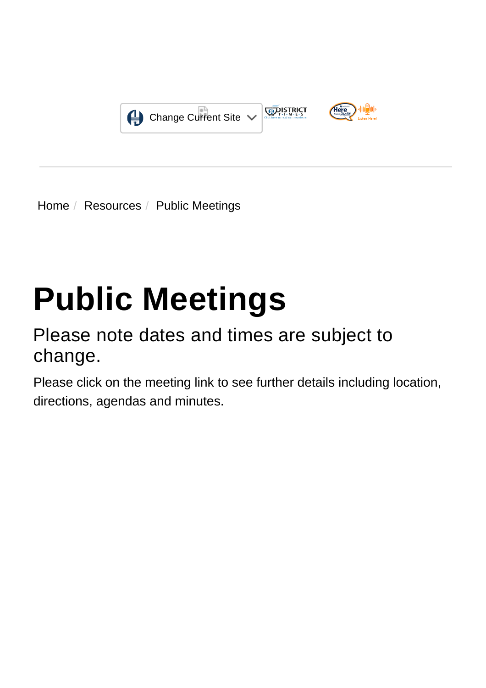

[Home](https://www.hcdpbc.org/) / [Resources](https://www.hcdpbc.org/resources) / Public Meetings

# **Public Meetings**

## Please note dates and times are subject to change.

Please click on the meeting link to see further details including location, directions, agendas and minutes.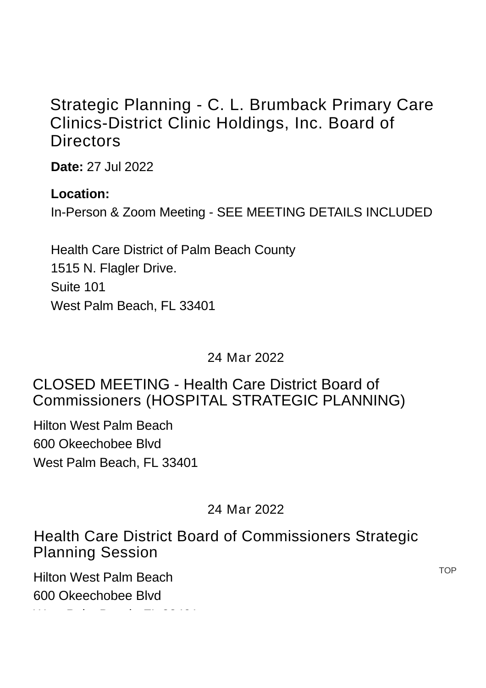## [Strategic Planning - C. L. Brumback Primary Care](https://www.hcdpbc.org/EventViewTrainingDetails.aspx?Bck=Y&EventID=475&m=0|0&DisplayType=C) Clinics-District Clinic Holdings, Inc. Board of **Directors**

**Date:** 27 Jul 2022

#### **Location:**

In-Person & Zoom Meeting - SEE MEETING DETAILS INCLUDED

Health Care District of Palm Beach County 1515 N. Flagler Drive. Suite 101 [West Palm Beach, FL 33401](https://www.google.com/maps?f=l&hl=en&q=1515+N.+Flagler+Drive%2c+Suite+101%2c+West+Palm+Beach%2c+Florida+33401)

24 Mar 2022

#### [CLOSED MEETING - Health Care District Board of](https://www.hcdpbc.org/EventViewTrainingDetails.aspx?Bck=Y&EventID=461&m=0|0&DisplayType=C) Commissioners (HOSPITAL STRATEGIC PLANNING)

Hilton West Palm Beach 600 Okeechobee Blvd [West Palm Beach, FL 33401](https://www.google.com/maps?f=l&hl=en&q=600+Okeechobee+Blvd+-%2c+West+Palm+Beach%2c+Florida+33401)

#### 24 Mar 2022

[Health Care District Board of Commissioners Strategic](https://www.hcdpbc.org/EventViewTrainingDetails.aspx?Bck=Y&EventID=456&m=0|0&DisplayType=C) Planning Session

Hilton West Palm Beach [600 Okeechobee Blvd](https://www.google.com/maps?f=l&hl=en&q=600+Okeechobee+Blvd+-%2c+West+Palm+Beach%2c+Florida+33401)

west Palm Beach, FL 33401<br>Beach, FL 33401

**TOP**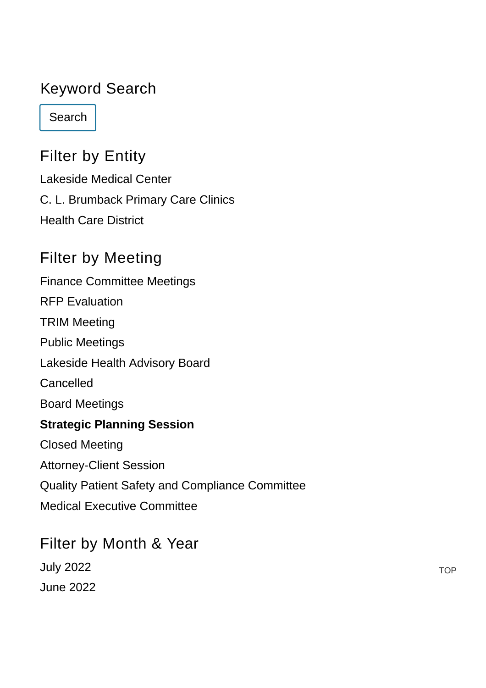### Keyword Search

Search

## Filter by Entity

[Lakeside Medical Center](https://www.hcdpbc.org/resources/public-meetings?g=1&PrintToPDF=True&dummy=2022755344&RefineModule=1352&retain=true&StartTax=77,69&StartDate=&Keywords=&RefineParent=75,74) [C. L. Brumback Primary Care Clinics](https://www.hcdpbc.org/resources/public-meetings?g=1&PrintToPDF=True&dummy=2022755344&RefineModule=1352&retain=true&StartTax=77,70&StartDate=&Keywords=&RefineParent=75,74) [Health Care District](https://www.hcdpbc.org/resources/public-meetings?g=1&PrintToPDF=True&dummy=2022755344&RefineModule=1352&retain=true&StartTax=77,73&StartDate=&Keywords=&RefineParent=75,74)

## Filter by Meeting

[Finance Committee Meetings](https://www.hcdpbc.org/resources/public-meetings?g=1&PrintToPDF=True&dummy=2022755344&RefineModule=1352&retain=true&StartTax=77,26&StartDate=&Keywords=&RefineParent=75,75) [RFP Evaluation](https://www.hcdpbc.org/resources/public-meetings?g=1&PrintToPDF=True&dummy=2022755344&RefineModule=1352&retain=true&StartTax=77,31&StartDate=&Keywords=&RefineParent=75,75) [TRIM Meeting](https://www.hcdpbc.org/resources/public-meetings?g=1&PrintToPDF=True&dummy=2022755344&RefineModule=1352&retain=true&StartTax=77,32&StartDate=&Keywords=&RefineParent=75,75) [Public Meetings](https://www.hcdpbc.org/resources/public-meetings?g=1&PrintToPDF=True&dummy=2022755344&RefineModule=1352&retain=true&StartTax=77,33&StartDate=&Keywords=&RefineParent=75,75) [Lakeside Health Advisory Board](https://www.hcdpbc.org/resources/public-meetings?g=1&PrintToPDF=True&dummy=2022755344&RefineModule=1352&retain=true&StartTax=77,40&StartDate=&Keywords=&RefineParent=75,75) [Cancelled](https://www.hcdpbc.org/resources/public-meetings?g=1&PrintToPDF=True&dummy=2022755344&RefineModule=1352&retain=true&StartTax=77,67&StartDate=&Keywords=&RefineParent=75,75) [Board Meetings](https://www.hcdpbc.org/resources/public-meetings?g=1&PrintToPDF=True&dummy=2022755344&RefineModule=1352&retain=true&StartTax=77,72&StartDate=&Keywords=&RefineParent=75,75) **[Strategic Planning Session](https://www.hcdpbc.org/resources/public-meetings?g=1&PrintToPDF=True&dummy=2022755344&RefineModule=1352&retain=true&StartTax=77,77&StartDate=&Keywords=&RefineParent=75,75)** [Closed Meeting](https://www.hcdpbc.org/resources/public-meetings?g=1&PrintToPDF=True&dummy=2022755344&RefineModule=1352&retain=true&StartTax=77,78&StartDate=&Keywords=&RefineParent=75,75) [Attorney-Client Session](https://www.hcdpbc.org/resources/public-meetings?g=1&PrintToPDF=True&dummy=2022755344&RefineModule=1352&retain=true&StartTax=77,79&StartDate=&Keywords=&RefineParent=75,75) [Quality Patient Safety and Compliance Committee](https://www.hcdpbc.org/resources/public-meetings?g=1&PrintToPDF=True&dummy=2022755344&RefineModule=1352&retain=true&StartTax=77,84&StartDate=&Keywords=&RefineParent=75,75) [Medical Executive Committee](https://www.hcdpbc.org/resources/public-meetings?g=1&PrintToPDF=True&dummy=2022755344&RefineModule=1352&retain=true&StartTax=77,85&StartDate=&Keywords=&RefineParent=75,75)

# Filter by Month & Year

[July 2022](https://www.hcdpbc.org/resources/public-meetings?g=1&PrintToPDF=True&dummy=2022755344&RefineModule=1352&RefineDateType=S&retain=true&StartTax=77,&StartDate=1%20Jul%202022&Keywords=&RefineParent=75,) [June 2022](https://www.hcdpbc.org/resources/public-meetings?g=1&PrintToPDF=True&dummy=2022755344&RefineModule=1352&RefineDateType=S&retain=true&StartTax=77,&StartDate=1%20Jun%202022&Keywords=&RefineParent=75,)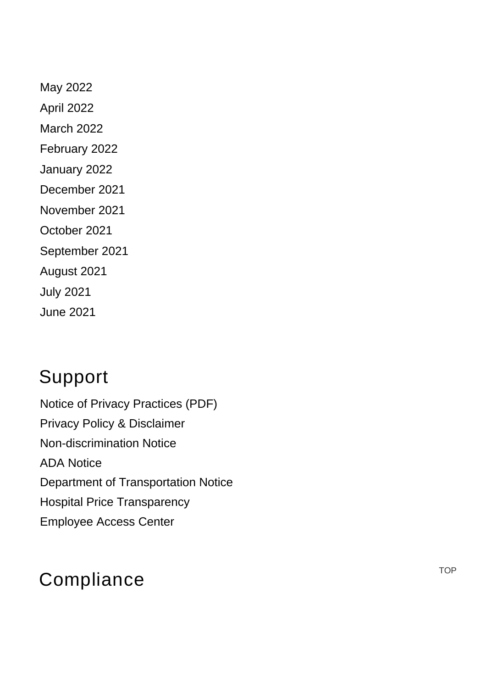[May 2022](https://www.hcdpbc.org/resources/public-meetings?g=1&PrintToPDF=True&dummy=2022755344&RefineModule=1352&RefineDateType=S&retain=true&StartTax=77,&StartDate=1%20May%202022&Keywords=&RefineParent=75,) [April 2022](https://www.hcdpbc.org/resources/public-meetings?g=1&PrintToPDF=True&dummy=2022755344&RefineModule=1352&RefineDateType=S&retain=true&StartTax=77,&StartDate=1%20Apr%202022&Keywords=&RefineParent=75,) [March 2022](https://www.hcdpbc.org/resources/public-meetings?g=1&PrintToPDF=True&dummy=2022755344&RefineModule=1352&RefineDateType=S&retain=true&StartTax=77,&StartDate=1%20Mar%202022&Keywords=&RefineParent=75,) [February 2022](https://www.hcdpbc.org/resources/public-meetings?g=1&PrintToPDF=True&dummy=2022755344&RefineModule=1352&RefineDateType=S&retain=true&StartTax=77,&StartDate=1%20Feb%202022&Keywords=&RefineParent=75,) [January 2022](https://www.hcdpbc.org/resources/public-meetings?g=1&PrintToPDF=True&dummy=2022755344&RefineModule=1352&RefineDateType=S&retain=true&StartTax=77,&StartDate=1%20Jan%202022&Keywords=&RefineParent=75,) [December 2021](https://www.hcdpbc.org/resources/public-meetings?g=1&PrintToPDF=True&dummy=2022755344&RefineModule=1352&RefineDateType=S&retain=true&StartTax=77,&StartDate=1%20Dec%202021&Keywords=&RefineParent=75,) [November 2021](https://www.hcdpbc.org/resources/public-meetings?g=1&PrintToPDF=True&dummy=2022755344&RefineModule=1352&RefineDateType=S&retain=true&StartTax=77,&StartDate=1%20Nov%202021&Keywords=&RefineParent=75,) [October 2021](https://www.hcdpbc.org/resources/public-meetings?g=1&PrintToPDF=True&dummy=2022755344&RefineModule=1352&RefineDateType=S&retain=true&StartTax=77,&StartDate=1%20Oct%202021&Keywords=&RefineParent=75,) [September 2021](https://www.hcdpbc.org/resources/public-meetings?g=1&PrintToPDF=True&dummy=2022755344&RefineModule=1352&RefineDateType=S&retain=true&StartTax=77,&StartDate=1%20Sep%202021&Keywords=&RefineParent=75,) [August 2021](https://www.hcdpbc.org/resources/public-meetings?g=1&PrintToPDF=True&dummy=2022755344&RefineModule=1352&RefineDateType=S&retain=true&StartTax=77,&StartDate=1%20Aug%202021&Keywords=&RefineParent=75,) [July 2021](https://www.hcdpbc.org/resources/public-meetings?g=1&PrintToPDF=True&dummy=2022755344&RefineModule=1352&RefineDateType=S&retain=true&StartTax=77,&StartDate=1%20Jul%202021&Keywords=&RefineParent=75,) [June 2021](https://www.hcdpbc.org/resources/public-meetings?g=1&PrintToPDF=True&dummy=2022755344&RefineModule=1352&RefineDateType=S&retain=true&StartTax=77,&StartDate=1%20Jun%202021&Keywords=&RefineParent=75,)

# Support

[Notice of Privacy Practices \(PDF\)](https://www.hcdpbc.org/ArticleDocuments/224/Notice%20of%20Privacy%20Practices.pdf.aspx) [Privacy Policy & Disclaimer](https://www.hcdpbc.org/resources/compliance#privacy-policy-and-disclaimer) [Non-discrimination Notice](https://www.hcdpbc.org/resources/compliance#non-discrimination-notice) [ADA Notice](https://www.hcdpbc.org/resources/compliance#ada-notice) [Department of Transportation Notice](https://www.hcdpbc.org/resources/compliance#faa) [Hospital Price Transparency](https://www.hcdpbc.org/for-patients/hospital/billing-financial-assistance) [Employee Access Center](https://eac.hcdpbc.org/EAC51/Login.aspx)

# **Compliance**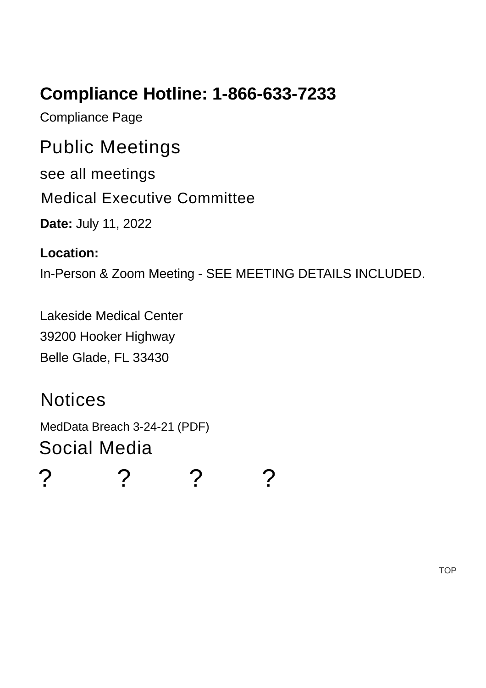## **Compliance Hotline: 1-866-633-7233**

[Compliance Page](https://www.hcdpbc.org/resources/compliance)

## Public Meetings

[see all meetings](https://www.hcdpbc.org/resources/public-meetings)

[Medical Executive Committee](https://www.hcdpbc.org/EventViewTrainingDetails.aspx?Bck=Y&EventID=473&m=0|0&DisplayType=C)

**Date:** July 11, 2022

#### **Location:**

In-Person & Zoom Meeting - SEE MEETING DETAILS INCLUDED.

Lakeside Medical Center [39200 Hooker Highway](https://www.google.com/maps?f=l&hl=en&q=39200+Hooker+Highway%2c+Belle+Glade%2c+Florida+33430) Belle Glade, FL 33430

## **Notices**

[MedData Breach 3-24-21 \(PDF\)](https://www.hcdpbc.org/ArticleDocuments/708/Med-Data%20Press%20Release%20Media%20Notice%203_29_2021.pdf.aspx) Social Media

[?](https://www.facebook.com/healthcaredistrict) [?](https://www.twitter.com/healthcaredist) [?](https://www.linkedin.com/company/health-care-district-of-palm-beach-county) [?](https://www.youtube.com/user/hcdpbc)